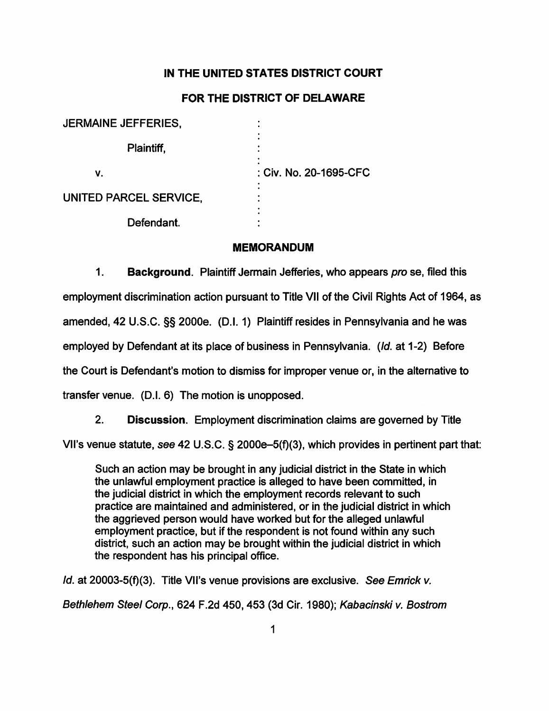# **IN THE UNITED STATES DISTRICT COURT**

## **FOR THE DISTRICT OF DELAWARE**

| <b>JERMAINE JEFFERIES,</b> |                        |
|----------------------------|------------------------|
| Plaintiff,                 |                        |
| V.                         | : Civ. No. 20-1695-CFC |
| UNITED PARCEL SERVICE,     |                        |
| Defendant.                 |                        |

#### **MEMORANDUM**

1. **Background.** Plaintiff Jermain Jefferies, who appears pro se, filed this employment discrimination action pursuant to Title VII of the Civil Rights Act of 1964, as amended, 42 U.S.C. §§ 2000e. (D.I. 1) Plaintiff resides in Pennsylvania and he was employed by Defendant at its place of business in Pennsylvania. (Id. at 1-2) Before the Court is Defendant's motion to dismiss for improper venue or, in the alternative to transfer venue. (D.I. 6) The motion is unopposed.

2. **Discussion.** Employment discrimination claims are governed by Title

Vll's venue statute, see 42 U.S.C. § 2000e-5(f)(3), which provides in pertinent part that:

Such an action may be brought in any judicial district in the State in which the unlawful employment practice is alleged to have been committed, in the judicial district in which the employment records relevant to such practice are maintained and administered, or in the judicial district in which the aggrieved person would have worked but for the alleged unlawful employment practice, but if the respondent is not found within any such district, such an action may be brought within the judicial district in which the respondent has his principal office.

Id. at 20003-5(f)(3). Title VII's venue provisions are exclusive. See Emrick  $v$ . Bethlehem Steel Corp., 624 F.2d 450,453 (3d Cir. 1980}; Kabacinski v. Bostrom

1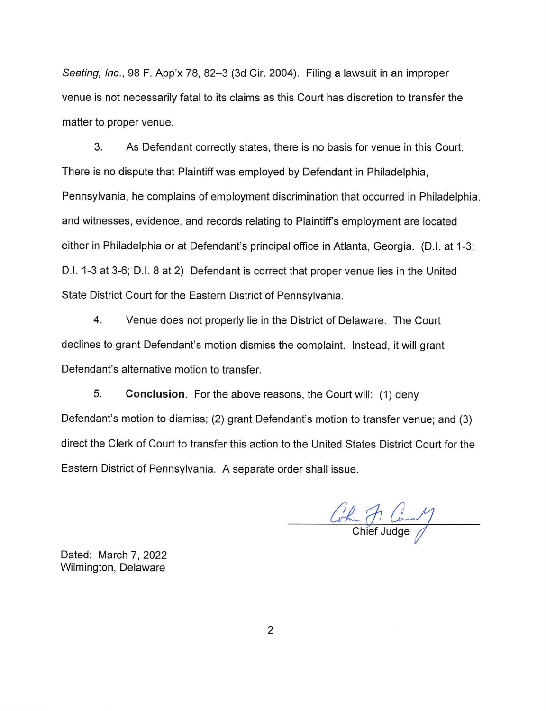Seating, Inc., 98 F. App'x 78, 82-3 (3d Cir. 2004). Filing a lawsuit in an improper venue is not necessarily fatal to its claims as this Court has discretion to transfer the matter to proper venue.

3. As Defendant correctly states, there is no basis for venue in this Court. There is no dispute that Plaintiff was employed by Defendant in Philadelphia, Pennsylvania, he complains of employment discrimination that occurred in Philadelphia, and witnesses, evidence, and records relating to Plaintiff's employment are located either in Philadelphia or at Defendant's principal office in Atlanta, Georgia. (D.I. at 1-3; D.I. 1-3 at 3-6; D.I. 8 at 2) Defendant is correct that proper venue lies in the United State District Court for the Eastern District of Pennsylvania.

4. Venue does not properly lie in the District of Delaware. The Court declines to grant Defendant's motion dismiss the complaint. Instead, it will grant Defendant's alternative motion to transfer.

5. **Conclusion.** For the above reasons, the Court will: (1) deny Defendant's motion to dismiss; (2) grant Defendant's motion to transfer venue; and (3) direct the Clerk of Court to transfer this action to the United States District Court for the Eastern District of Pennsylvania. A separate order shall issue.

Cohn J. Com/

Dated: March 7, 2022 Wilmington, Delaware